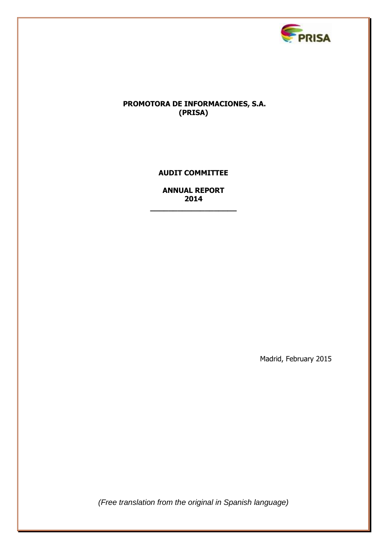

# **PROMOTORA DE INFORMACIONES, S.A. (PRISA)**

**AUDIT COMMITTEE**

**ANNUAL REPORT 2014**

**\_\_\_\_\_\_\_\_\_\_\_\_\_\_\_\_\_\_\_**

Madrid, February 2015

*(Free translation from the original in Spanish language)*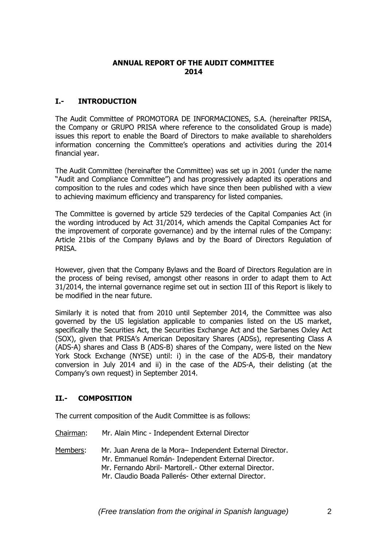## **ANNUAL REPORT OF THE AUDIT COMMITTEE 2014**

# **I.- INTRODUCTION**

The Audit Committee of PROMOTORA DE INFORMACIONES, S.A. (hereinafter PRISA, the Company or GRUPO PRISA where reference to the consolidated Group is made) issues this report to enable the Board of Directors to make available to shareholders information concerning the Committee's operations and activities during the 2014 financial year.

The Audit Committee (hereinafter the Committee) was set up in 2001 (under the name "Audit and Compliance Committee") and has progressively adapted its operations and composition to the rules and codes which have since then been published with a view to achieving maximum efficiency and transparency for listed companies.

The Committee is governed by article 529 terdecies of the Capital Companies Act (in the wording introduced by Act 31/2014, which amends the Capital Companies Act for the improvement of corporate governance) and by the internal rules of the Company: Article 21bis of the Company Bylaws and by the Board of Directors Regulation of PRISA.

However, given that the Company Bylaws and the Board of Directors Regulation are in the process of being revised, amongst other reasons in order to adapt them to Act 31/2014, the internal governance regime set out in section III of this Report is likely to be modified in the near future.

Similarly it is noted that from 2010 until September 2014, the Committee was also governed by the US legislation applicable to companies listed on the US market, specifically the Securities Act, the Securities Exchange Act and the Sarbanes Oxley Act (SOX), given that PRISA's American Depositary Shares (ADSs), representing Class A (ADS-A) shares and Class B (ADS-B) shares of the Company, were listed on the New York Stock Exchange (NYSE) until: i) in the case of the ADS-B, their mandatory conversion in July 2014 and ii) in the case of the ADS-A, their delisting (at the Company's own request) in September 2014.

## **II.- COMPOSITION**

The current composition of the Audit Committee is as follows:

- Chairman: Mr. Alain Minc Independent External Director
- Members: Mr. Juan Arena de la Mora– Independent External Director. Mr. Emmanuel Román- Independent External Director. Mr. Fernando Abril- Martorell.- Other external Director. Mr. Claudio Boada Pallerés- Other external Director.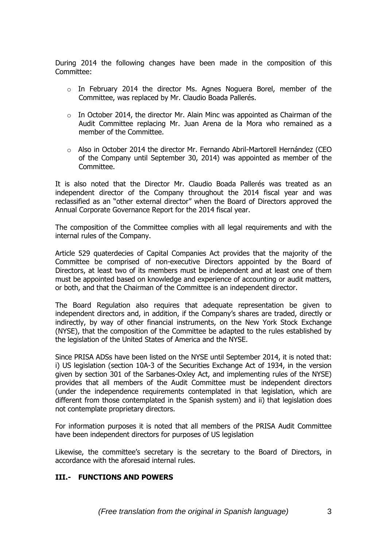During 2014 the following changes have been made in the composition of this Committee:

- o In February 2014 the director Ms. Agnes Noguera Borel, member of the Committee, was replaced by Mr. Claudio Boada Pallerés.
- $\circ$  In October 2014, the director Mr. Alain Minc was appointed as Chairman of the Audit Committee replacing Mr. Juan Arena de la Mora who remained as a member of the Committee.
- o Also in October 2014 the director Mr. Fernando Abril-Martorell Hernández (CEO of the Company until September 30, 2014) was appointed as member of the Committee.

It is also noted that the Director Mr. Claudio Boada Pallerés was treated as an independent director of the Company throughout the 2014 fiscal year and was reclassified as an "other external director" when the Board of Directors approved the Annual Corporate Governance Report for the 2014 fiscal year.

The composition of the Committee complies with all legal requirements and with the internal rules of the Company.

Article 529 quaterdecies of Capital Companies Act provides that the majority of the Committee be comprised of non-executive Directors appointed by the Board of Directors, at least two of its members must be independent and at least one of them must be appointed based on knowledge and experience of accounting or audit matters, or both, and that the Chairman of the Committee is an independent director.

The Board Regulation also requires that adequate representation be given to independent directors and, in addition, if the Company's shares are traded, directly or indirectly, by way of other financial instruments, on the New York Stock Exchange (NYSE), that the composition of the Committee be adapted to the rules established by the legislation of the United States of America and the NYSE.

Since PRISA ADSs have been listed on the NYSE until September 2014, it is noted that: i) US legislation (section 10A-3 of the Securities Exchange Act of 1934, in the version given by section 301 of the Sarbanes-Oxley Act, and implementing rules of the NYSE) provides that all members of the Audit Committee must be independent directors (under the independence requirements contemplated in that legislation, which are different from those contemplated in the Spanish system) and ii) that legislation does not contemplate proprietary directors.

For information purposes it is noted that all members of the PRISA Audit Committee have been independent directors for purposes of US legislation

Likewise, the committee's secretary is the secretary to the Board of Directors, in accordance with the aforesaid internal rules.

#### **III.- FUNCTIONS AND POWERS**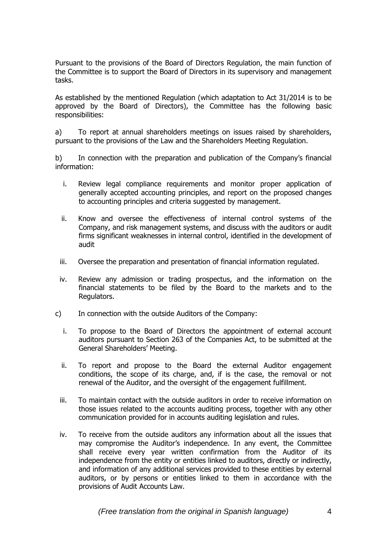Pursuant to the provisions of the Board of Directors Regulation, the main function of the Committee is to support the Board of Directors in its supervisory and management tasks.

As established by the mentioned Regulation (which adaptation to Act 31/2014 is to be approved by the Board of Directors), the Committee has the following basic responsibilities:

a) To report at annual shareholders meetings on issues raised by shareholders, pursuant to the provisions of the Law and the Shareholders Meeting Regulation.

b) In connection with the preparation and publication of the Company's financial information:

- i. Review legal compliance requirements and monitor proper application of generally accepted accounting principles, and report on the proposed changes to accounting principles and criteria suggested by management.
- ii. Know and oversee the effectiveness of internal control systems of the Company, and risk management systems, and discuss with the auditors or audit firms significant weaknesses in internal control, identified in the development of audit
- iii. Oversee the preparation and presentation of financial information regulated.
- iv. Review any admission or trading prospectus, and the information on the financial statements to be filed by the Board to the markets and to the Regulators.
- c) In connection with the outside Auditors of the Company:
	- i. To propose to the Board of Directors the appointment of external account auditors pursuant to Section 263 of the Companies Act, to be submitted at the General Shareholders' Meeting.
	- ii. To report and propose to the Board the external Auditor engagement conditions, the scope of its charge, and, if is the case, the removal or not renewal of the Auditor, and the oversight of the engagement fulfillment.
	- iii. To maintain contact with the outside auditors in order to receive information on those issues related to the accounts auditing process, together with any other communication provided for in accounts auditing legislation and rules.
	- iv. To receive from the outside auditors any information about all the issues that may compromise the Auditor's independence. In any event, the Committee shall receive every year written confirmation from the Auditor of its independence from the entity or entities linked to auditors, directly or indirectly, and information of any additional services provided to these entities by external auditors, or by persons or entities linked to them in accordance with the provisions of Audit Accounts Law.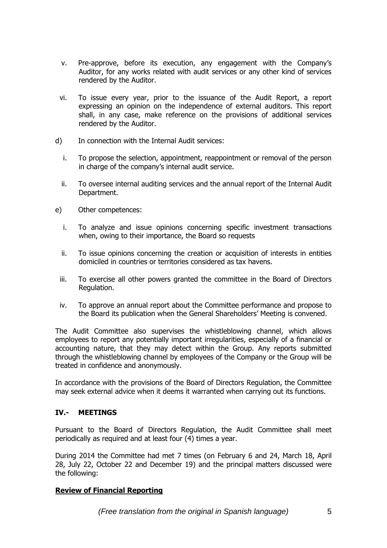- v. Pre-approve, before its execution, any engagement with the Company's Auditor, for any works related with audit services or any other kind of services rendered by the Auditor.
- vi. To issue every year, prior to the issuance of the Audit Report, a report expressing an opinion on the independence of external auditors. This report shall, in any case, make reference on the provisions of additional services rendered by the Auditor.
- d) In connection with the Internal Audit services:
	- i. To propose the selection, appointment, reappointment or removal of the person in charge of the company's internal audit service.
	- ii. To oversee internal auditing services and the annual report of the Internal Audit Department.
- e) Other competences:
	- i. To analyze and issue opinions concerning specific investment transactions when, owing to their importance, the Board so requests
	- ii. To issue opinions concerning the creation or acquisition of interests in entities domiciled in countries or territories considered as tax havens.
	- iii. To exercise all other powers granted the committee in the Board of Directors Regulation.
	- iv. To approve an annual report about the Committee performance and propose to the Board its publication when the General Shareholders' Meeting is convened.

The Audit Committee also supervises the whistleblowing channel, which allows employees to report any potentially important irregularities, especially of a financial or accounting nature, that they may detect within the Group. Any reports submitted through the whistleblowing channel by employees of the Company or the Group will be treated in confidence and anonymously.

In accordance with the provisions of the Board of Directors Regulation, the Committee may seek external advice when it deems it warranted when carrying out its functions.

## **IV.- MEETINGS**

Pursuant to the Board of Directors Regulation, the Audit Committee shall meet periodically as required and at least four (4) times a year.

During 2014 the Committee had met 7 times (on February 6 and 24, March 18, April 28, July 22, October 22 and December 19) and the principal matters discussed were the following:

## **Review of Financial Reporting**

*(Free translation from the original in Spanish language)* 5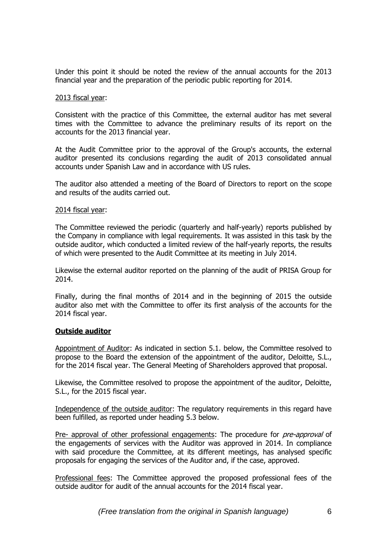Under this point it should be noted the review of the annual accounts for the 2013 financial year and the preparation of the periodic public reporting for 2014.

#### 2013 fiscal year:

Consistent with the practice of this Committee, the external auditor has met several times with the Committee to advance the preliminary results of its report on the accounts for the 2013 financial year.

At the Audit Committee prior to the approval of the Group's accounts, the external auditor presented its conclusions regarding the audit of 2013 consolidated annual accounts under Spanish Law and in accordance with US rules.

The auditor also attended a meeting of the Board of Directors to report on the scope and results of the audits carried out.

#### 2014 fiscal year:

The Committee reviewed the periodic (quarterly and half-yearly) reports published by the Company in compliance with legal requirements. It was assisted in this task by the outside auditor, which conducted a limited review of the half-yearly reports, the results of which were presented to the Audit Committee at its meeting in July 2014.

Likewise the external auditor reported on the planning of the audit of PRISA Group for 2014.

Finally, during the final months of 2014 and in the beginning of 2015 the outside auditor also met with the Committee to offer its first analysis of the accounts for the 2014 fiscal year.

#### **Outside auditor**

Appointment of Auditor: As indicated in section 5.1. below, the Committee resolved to propose to the Board the extension of the appointment of the auditor, Deloitte, S.L., for the 2014 fiscal year. The General Meeting of Shareholders approved that proposal.

Likewise, the Committee resolved to propose the appointment of the auditor, Deloitte, S.L., for the 2015 fiscal year.

Independence of the outside auditor: The regulatory requirements in this regard have been fulfilled, as reported under heading 5.3 below.

Pre- approval of other professional engagements: The procedure for *pre-approval* of the engagements of services with the Auditor was approved in 2014. In compliance with said procedure the Committee, at its different meetings, has analysed specific proposals for engaging the services of the Auditor and, if the case, approved.

Professional fees: The Committee approved the proposed professional fees of the outside auditor for audit of the annual accounts for the 2014 fiscal year.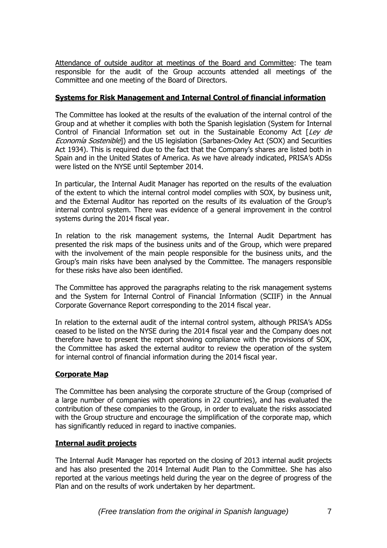Attendance of outside auditor at meetings of the Board and Committee: The team responsible for the audit of the Group accounts attended all meetings of the Committee and one meeting of the Board of Directors.

# **Systems for Risk Management and Internal Control of financial information**

The Committee has looked at the results of the evaluation of the internal control of the Group and at whether it complies with both the Spanish legislation (System for Internal Control of Financial Information set out in the Sustainable Economy Act  $[Lev$  de Economía Sostenible]) and the US legislation (Sarbanes-Oxley Act (SOX) and Securities Act 1934). This is required due to the fact that the Company's shares are listed both in Spain and in the United States of America. As we have already indicated, PRISA's ADSs were listed on the NYSE until September 2014.

In particular, the Internal Audit Manager has reported on the results of the evaluation of the extent to which the internal control model complies with SOX, by business unit, and the External Auditor has reported on the results of its evaluation of the Group's internal control system. There was evidence of a general improvement in the control systems during the 2014 fiscal year.

In relation to the risk management systems, the Internal Audit Department has presented the risk maps of the business units and of the Group, which were prepared with the involvement of the main people responsible for the business units, and the Group's main risks have been analysed by the Committee. The managers responsible for these risks have also been identified.

The Committee has approved the paragraphs relating to the risk management systems and the System for Internal Control of Financial Information (SCIIF) in the Annual Corporate Governance Report corresponding to the 2014 fiscal year.

In relation to the external audit of the internal control system, although PRISA's ADSs ceased to be listed on the NYSE during the 2014 fiscal year and the Company does not therefore have to present the report showing compliance with the provisions of SOX, the Committee has asked the external auditor to review the operation of the system for internal control of financial information during the 2014 fiscal year.

# **Corporate Map**

The Committee has been analysing the corporate structure of the Group (comprised of a large number of companies with operations in 22 countries), and has evaluated the contribution of these companies to the Group, in order to evaluate the risks associated with the Group structure and encourage the simplification of the corporate map, which has significantly reduced in regard to inactive companies.

## **Internal audit projects**

The Internal Audit Manager has reported on the closing of 2013 internal audit projects and has also presented the 2014 Internal Audit Plan to the Committee. She has also reported at the various meetings held during the year on the degree of progress of the Plan and on the results of work undertaken by her department.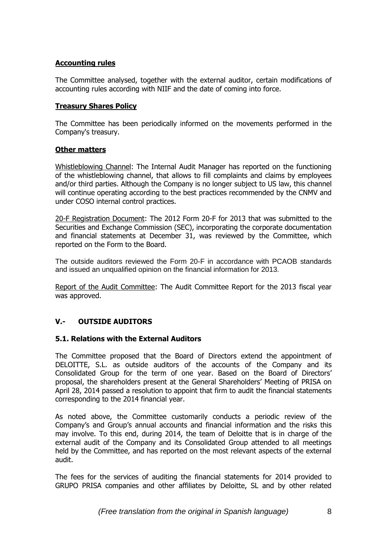# **Accounting rules**

The Committee analysed, together with the external auditor, certain modifications of accounting rules according with NIIF and the date of coming into force.

## **Treasury Shares Policy**

The Committee has been periodically informed on the movements performed in the Company's treasury.

### **Other matters**

Whistleblowing Channel: The Internal Audit Manager has reported on the functioning of the whistleblowing channel, that allows to fill complaints and claims by employees and/or third parties. Although the Company is no longer subject to US law, this channel will continue operating according to the best practices recommended by the CNMV and under COSO internal control practices.

20-F Registration Document: The 2012 Form 20-F for 2013 that was submitted to the Securities and Exchange Commission (SEC), incorporating the corporate documentation and financial statements at December 31, was reviewed by the Committee, which reported on the Form to the Board.

The outside auditors reviewed the Form 20-F in accordance with PCAOB standards and issued an unqualified opinion on the financial information for 2013.

Report of the Audit Committee: The Audit Committee Report for the 2013 fiscal year was approved.

# **V.- OUTSIDE AUDITORS**

## **5.1. Relations with the External Auditors**

The Committee proposed that the Board of Directors extend the appointment of DELOITTE, S.L. as outside auditors of the accounts of the Company and its Consolidated Group for the term of one year. Based on the Board of Directors' proposal, the shareholders present at the General Shareholders' Meeting of PRISA on April 28, 2014 passed a resolution to appoint that firm to audit the financial statements corresponding to the 2014 financial year.

As noted above, the Committee customarily conducts a periodic review of the Company's and Group's annual accounts and financial information and the risks this may involve. To this end, during 2014, the team of Deloitte that is in charge of the external audit of the Company and its Consolidated Group attended to all meetings held by the Committee, and has reported on the most relevant aspects of the external audit.

The fees for the services of auditing the financial statements for 2014 provided to GRUPO PRISA companies and other affiliates by Deloitte, SL and by other related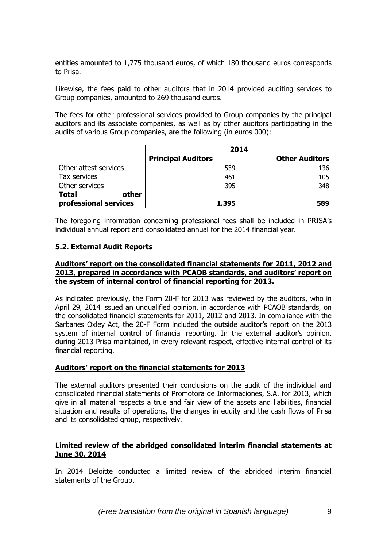entities amounted to 1,775 thousand euros, of which 180 thousand euros corresponds to Prisa.

Likewise, the fees paid to other auditors that in 2014 provided auditing services to Group companies, amounted to 269 thousand euros.

The fees for other professional services provided to Group companies by the principal auditors and its associate companies, as well as by other auditors participating in the audits of various Group companies, are the following (in euros 000):

|                       | 2014                      |                       |
|-----------------------|---------------------------|-----------------------|
|                       | <b>Principal Auditors</b> | <b>Other Auditors</b> |
| Other attest services | 539                       | 136                   |
| Tax services          | 461                       | 105                   |
| Other services        | 395                       | 348                   |
| <b>Total</b><br>other |                           |                       |
| professional services | 1.395                     | 589                   |

The foregoing information concerning professional fees shall be included in PRISA's individual annual report and consolidated annual for the 2014 financial year.

### **5.2. External Audit Reports**

#### **Auditors' report on the consolidated financial statements for 2011, 2012 and 2013, prepared in accordance with PCAOB standards, and auditors' report on the system of internal control of financial reporting for 2013.**

As indicated previously, the Form 20-F for 2013 was reviewed by the auditors, who in April 29, 2014 issued an unqualified opinion, in accordance with PCAOB standards, on the consolidated financial statements for 2011, 2012 and 2013. In compliance with the Sarbanes Oxley Act, the 20-F Form included the outside auditor's report on the 2013 system of internal control of financial reporting. In the external auditor's opinion, during 2013 Prisa maintained, in every relevant respect, effective internal control of its financial reporting.

#### **Auditors' report on the financial statements for 2013**

The external auditors presented their conclusions on the audit of the individual and consolidated financial statements of Promotora de Informaciones, S.A. for 2013, which give in all material respects a true and fair view of the assets and liabilities, financial situation and results of operations, the changes in equity and the cash flows of Prisa and its consolidated group, respectively.

### **Limited review of the abridged consolidated interim financial statements at June 30, 2014**

In 2014 Deloitte conducted a limited review of the abridged interim financial statements of the Group.

*(Free translation from the original in Spanish language)* 9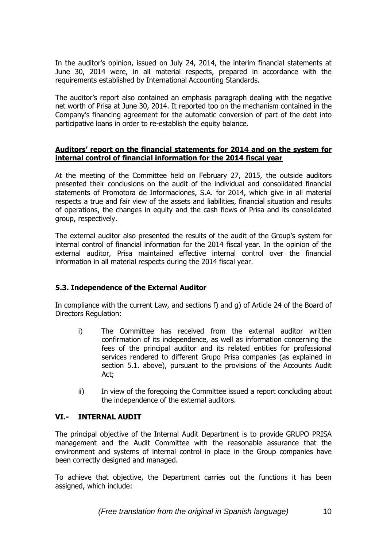In the auditor's opinion, issued on July 24, 2014, the interim financial statements at June 30, 2014 were, in all material respects, prepared in accordance with the requirements established by International Accounting Standards.

The auditor's report also contained an emphasis paragraph dealing with the negative net worth of Prisa at June 30, 2014. It reported too on the mechanism contained in the Company's financing agreement for the automatic conversion of part of the debt into participative loans in order to re-establish the equity balance.

### **Auditors' report on the financial statements for 2014 and on the system for internal control of financial information for the 2014 fiscal year**

At the meeting of the Committee held on February 27, 2015, the outside auditors presented their conclusions on the audit of the individual and consolidated financial statements of Promotora de Informaciones, S.A. for 2014, which give in all material respects a true and fair view of the assets and liabilities, financial situation and results of operations, the changes in equity and the cash flows of Prisa and its consolidated group, respectively.

The external auditor also presented the results of the audit of the Group's system for internal control of financial information for the 2014 fiscal year. In the opinion of the external auditor, Prisa maintained effective internal control over the financial information in all material respects during the 2014 fiscal year.

# **5.3. Independence of the External Auditor**

In compliance with the current Law, and sections f) and g) of Article 24 of the Board of Directors Regulation:

- i) The Committee has received from the external auditor written confirmation of its independence, as well as information concerning the fees of the principal auditor and its related entities for professional services rendered to different Grupo Prisa companies (as explained in section 5.1. above), pursuant to the provisions of the Accounts Audit Act;
- ii) In view of the foregoing the Committee issued a report concluding about the independence of the external auditors.

## **VI.- INTERNAL AUDIT**

The principal objective of the Internal Audit Department is to provide GRUPO PRISA management and the Audit Committee with the reasonable assurance that the environment and systems of internal control in place in the Group companies have been correctly designed and managed.

To achieve that objective, the Department carries out the functions it has been assigned, which include: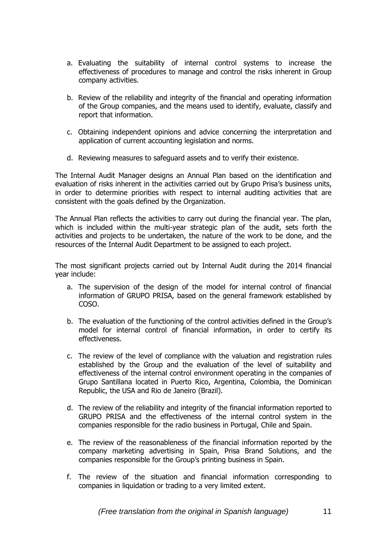- a. Evaluating the suitability of internal control systems to increase the effectiveness of procedures to manage and control the risks inherent in Group company activities.
- b. Review of the reliability and integrity of the financial and operating information of the Group companies, and the means used to identify, evaluate, classify and report that information.
- c. Obtaining independent opinions and advice concerning the interpretation and application of current accounting legislation and norms.
- d. Reviewing measures to safeguard assets and to verify their existence.

The Internal Audit Manager designs an Annual Plan based on the identification and evaluation of risks inherent in the activities carried out by Grupo Prisa's business units, in order to determine priorities with respect to internal auditing activities that are consistent with the goals defined by the Organization.

The Annual Plan reflects the activities to carry out during the financial year. The plan, which is included within the multi-year strategic plan of the audit, sets forth the activities and projects to be undertaken, the nature of the work to be done, and the resources of the Internal Audit Department to be assigned to each project.

The most significant projects carried out by Internal Audit during the 2014 financial year include:

- a. The supervision of the design of the model for internal control of financial information of GRUPO PRISA, based on the general framework established by COSO.
- b. The evaluation of the functioning of the control activities defined in the Group's model for internal control of financial information, in order to certify its effectiveness.
- c. The review of the level of compliance with the valuation and registration rules established by the Group and the evaluation of the level of suitability and effectiveness of the internal control environment operating in the companies of Grupo Santillana located in Puerto Rico, Argentina, Colombia, the Dominican Republic, the USA and Rio de Janeiro (Brazil).
- d. The review of the reliability and integrity of the financial information reported to GRUPO PRISA and the effectiveness of the internal control system in the companies responsible for the radio business in Portugal, Chile and Spain.
- e. The review of the reasonableness of the financial information reported by the company marketing advertising in Spain, Prisa Brand Solutions, and the companies responsible for the Group's printing business in Spain.
- f. The review of the situation and financial information corresponding to companies in liquidation or trading to a very limited extent.